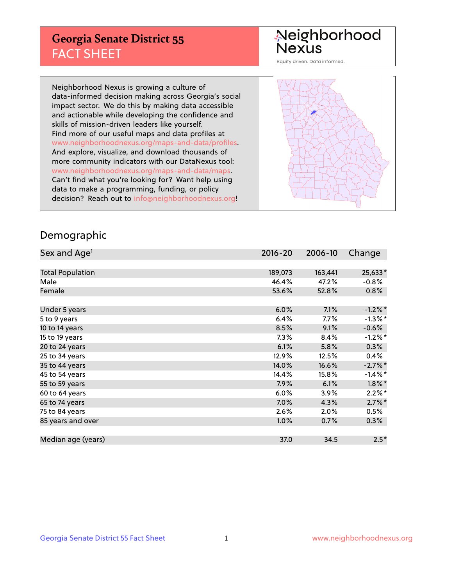## **Georgia Senate District 55** FACT SHEET

# Neighborhood<br>Nexus

Equity driven. Data informed.

Neighborhood Nexus is growing a culture of data-informed decision making across Georgia's social impact sector. We do this by making data accessible and actionable while developing the confidence and skills of mission-driven leaders like yourself. Find more of our useful maps and data profiles at www.neighborhoodnexus.org/maps-and-data/profiles. And explore, visualize, and download thousands of more community indicators with our DataNexus tool: www.neighborhoodnexus.org/maps-and-data/maps. Can't find what you're looking for? Want help using data to make a programming, funding, or policy decision? Reach out to [info@neighborhoodnexus.org!](mailto:info@neighborhoodnexus.org)



### Demographic

| Sex and Age <sup>1</sup> | $2016 - 20$ | 2006-10 | Change     |
|--------------------------|-------------|---------|------------|
|                          |             |         |            |
| <b>Total Population</b>  | 189,073     | 163,441 | 25,633*    |
| Male                     | 46.4%       | 47.2%   | $-0.8%$    |
| Female                   | 53.6%       | 52.8%   | $0.8\%$    |
|                          |             |         |            |
| Under 5 years            | 6.0%        | 7.1%    | $-1.2\%$ * |
| 5 to 9 years             | 6.4%        | $7.7\%$ | $-1.3\%$ * |
| 10 to 14 years           | 8.5%        | 9.1%    | $-0.6%$    |
| 15 to 19 years           | 7.3%        | 8.4%    | $-1.2%$ *  |
| 20 to 24 years           | 6.1%        | 5.8%    | 0.3%       |
| 25 to 34 years           | 12.9%       | 12.5%   | 0.4%       |
| 35 to 44 years           | 14.0%       | 16.6%   | $-2.7%$ *  |
| 45 to 54 years           | 14.4%       | 15.8%   | $-1.4\%$ * |
| 55 to 59 years           | 7.9%        | 6.1%    | $1.8\%$ *  |
| 60 to 64 years           | 6.0%        | 3.9%    | $2.2\%$ *  |
| 65 to 74 years           | 7.0%        | 4.3%    | $2.7\%$ *  |
| 75 to 84 years           | 2.6%        | 2.0%    | 0.5%       |
| 85 years and over        | 1.0%        | 0.7%    | 0.3%       |
|                          |             |         |            |
| Median age (years)       | 37.0        | 34.5    | $2.5*$     |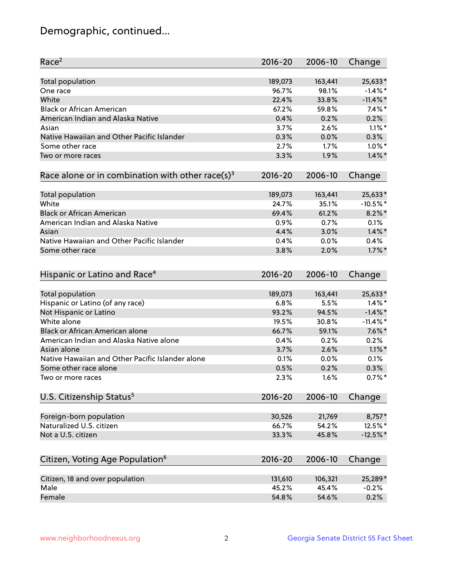## Demographic, continued...

| Race <sup>2</sup>                                            | $2016 - 20$ | 2006-10 | Change      |
|--------------------------------------------------------------|-------------|---------|-------------|
| <b>Total population</b>                                      | 189,073     | 163,441 | 25,633*     |
| One race                                                     | 96.7%       | 98.1%   | $-1.4\%$ *  |
| White                                                        | 22.4%       | 33.8%   | $-11.4\%$ * |
| <b>Black or African American</b>                             | 67.2%       | 59.8%   | $7.4\%$ *   |
| American Indian and Alaska Native                            | 0.4%        | 0.2%    | 0.2%        |
| Asian                                                        | 3.7%        | 2.6%    | $1.1\%$ *   |
| Native Hawaiian and Other Pacific Islander                   | 0.3%        | 0.0%    | 0.3%        |
| Some other race                                              | 2.7%        | 1.7%    | $1.0\%$ *   |
| Two or more races                                            | 3.3%        | 1.9%    | $1.4\%$ *   |
| Race alone or in combination with other race(s) <sup>3</sup> | $2016 - 20$ | 2006-10 | Change      |
| Total population                                             | 189,073     | 163,441 | 25,633*     |
| White                                                        | 24.7%       | 35.1%   | $-10.5%$ *  |
| <b>Black or African American</b>                             | 69.4%       | 61.2%   | $8.2\%$ *   |
| American Indian and Alaska Native                            | 0.9%        | 0.7%    | 0.1%        |
| Asian                                                        | 4.4%        | 3.0%    | $1.4\%$ *   |
| Native Hawaiian and Other Pacific Islander                   | 0.4%        | 0.0%    | 0.4%        |
| Some other race                                              | 3.8%        | 2.0%    | $1.7\%$ *   |
| Hispanic or Latino and Race <sup>4</sup>                     | $2016 - 20$ | 2006-10 | Change      |
| <b>Total population</b>                                      | 189,073     | 163,441 | 25,633*     |
| Hispanic or Latino (of any race)                             | 6.8%        | 5.5%    | $1.4\%$ *   |
| Not Hispanic or Latino                                       | 93.2%       | 94.5%   | $-1.4\%$ *  |
| White alone                                                  | 19.5%       | 30.8%   | $-11.4\%$ * |
| <b>Black or African American alone</b>                       | 66.7%       | 59.1%   | $7.6\%$ *   |
| American Indian and Alaska Native alone                      | 0.4%        | 0.2%    | 0.2%        |
| Asian alone                                                  | 3.7%        | 2.6%    | $1.1\%$ *   |
| Native Hawaiian and Other Pacific Islander alone             | 0.1%        | 0.0%    | 0.1%        |
| Some other race alone                                        | 0.5%        | 0.2%    | 0.3%        |
| Two or more races                                            | 2.3%        | 1.6%    | $0.7%$ *    |
| U.S. Citizenship Status <sup>5</sup>                         | $2016 - 20$ | 2006-10 | Change      |
| Foreign-born population                                      | 30,526      | 21,769  | 8,757*      |
| Naturalized U.S. citizen                                     | 66.7%       | 54.2%   | 12.5%*      |
| Not a U.S. citizen                                           | 33.3%       | 45.8%   | $-12.5%$ *  |
|                                                              |             |         |             |
| Citizen, Voting Age Population <sup>6</sup>                  | 2016-20     | 2006-10 | Change      |
| Citizen, 18 and over population                              | 131,610     | 106,321 | 25,289*     |
| Male                                                         | 45.2%       | 45.4%   | $-0.2%$     |
| Female                                                       | 54.8%       | 54.6%   | 0.2%        |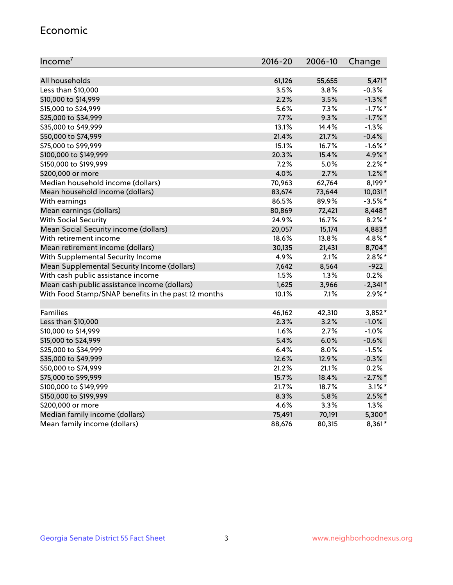#### Economic

| Income <sup>7</sup>                                 | $2016 - 20$ | 2006-10 | Change     |
|-----------------------------------------------------|-------------|---------|------------|
|                                                     |             |         |            |
| All households                                      | 61,126      | 55,655  | $5,471*$   |
| Less than \$10,000                                  | 3.5%        | 3.8%    | $-0.3%$    |
| \$10,000 to \$14,999                                | 2.2%        | 3.5%    | $-1.3\%$ * |
| \$15,000 to \$24,999                                | 5.6%        | 7.3%    | $-1.7%$ *  |
| \$25,000 to \$34,999                                | 7.7%        | 9.3%    | $-1.7%$ *  |
| \$35,000 to \$49,999                                | 13.1%       | 14.4%   | $-1.3%$    |
| \$50,000 to \$74,999                                | 21.4%       | 21.7%   | $-0.4%$    |
| \$75,000 to \$99,999                                | 15.1%       | 16.7%   | $-1.6\%$ * |
| \$100,000 to \$149,999                              | 20.3%       | 15.4%   | 4.9%*      |
| \$150,000 to \$199,999                              | 7.2%        | 5.0%    | $2.2\%$ *  |
| \$200,000 or more                                   | 4.0%        | 2.7%    | $1.2\%$ *  |
| Median household income (dollars)                   | 70,963      | 62,764  | 8,199*     |
| Mean household income (dollars)                     | 83,674      | 73,644  | 10,031*    |
| With earnings                                       | 86.5%       | 89.9%   | $-3.5%$ *  |
| Mean earnings (dollars)                             | 80,869      | 72,421  | 8,448*     |
| <b>With Social Security</b>                         | 24.9%       | 16.7%   | $8.2\%$ *  |
| Mean Social Security income (dollars)               | 20,057      | 15,174  | 4,883*     |
| With retirement income                              | 18.6%       | 13.8%   | 4.8%*      |
| Mean retirement income (dollars)                    | 30,135      | 21,431  | 8,704*     |
| With Supplemental Security Income                   | 4.9%        | $2.1\%$ | $2.8\%$ *  |
| Mean Supplemental Security Income (dollars)         | 7,642       | 8,564   | $-922$     |
| With cash public assistance income                  | 1.5%        | $1.3\%$ | 0.2%       |
| Mean cash public assistance income (dollars)        | 1,625       | 3,966   | $-2,341*$  |
| With Food Stamp/SNAP benefits in the past 12 months | 10.1%       | 7.1%    | $2.9\%$ *  |
|                                                     |             |         |            |
| Families                                            | 46,162      | 42,310  | $3,852*$   |
| Less than \$10,000                                  | 2.3%        | 3.2%    | $-1.0%$    |
| \$10,000 to \$14,999                                | 1.6%        | 2.7%    | $-1.0%$    |
| \$15,000 to \$24,999                                | 5.4%        | 6.0%    | $-0.6%$    |
| \$25,000 to \$34,999                                | 6.4%        | 8.0%    | $-1.5%$    |
| \$35,000 to \$49,999                                | 12.6%       | 12.9%   | $-0.3%$    |
| \$50,000 to \$74,999                                | 21.2%       | 21.1%   | 0.2%       |
| \$75,000 to \$99,999                                | 15.7%       | 18.4%   | $-2.7%$ *  |
| \$100,000 to \$149,999                              | 21.7%       | 18.7%   | $3.1\%$ *  |
| \$150,000 to \$199,999                              | 8.3%        | 5.8%    | $2.5\%$ *  |
| \$200,000 or more                                   | 4.6%        | 3.3%    | 1.3%       |
| Median family income (dollars)                      | 75,491      | 70,191  | 5,300*     |
| Mean family income (dollars)                        | 88,676      | 80,315  | $8,361*$   |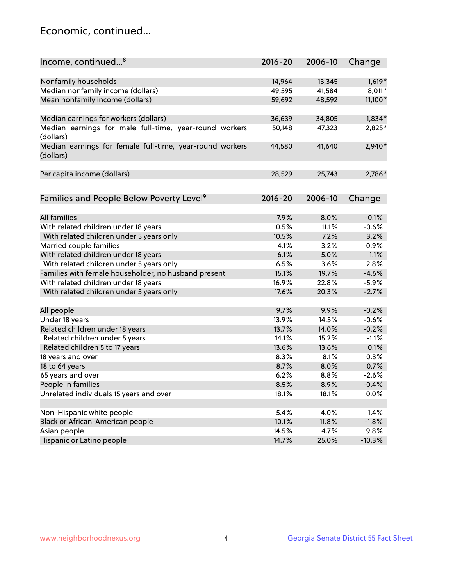## Economic, continued...

| Nonfamily households<br>14,964<br>13,345<br>$1,619*$<br>Median nonfamily income (dollars)<br>49,595<br>41,584<br>8,011*<br>Mean nonfamily income (dollars)<br>59,692<br>11,100*<br>48,592<br>36,639<br>$1,834*$<br>Median earnings for workers (dollars)<br>34,805<br>Median earnings for male full-time, year-round workers<br>2,825*<br>50,148<br>47,323<br>(dollars)<br>Median earnings for female full-time, year-round workers<br>$2,940*$<br>41,640<br>44,580<br>(dollars)<br>Per capita income (dollars)<br>25,743<br>2,786*<br>28,529<br>Families and People Below Poverty Level <sup>9</sup><br>$2016 - 20$<br>2006-10<br>Change<br><b>All families</b><br>$-0.1%$<br>7.9%<br>8.0%<br>With related children under 18 years<br>10.5%<br>11.1%<br>$-0.6%$<br>With related children under 5 years only<br>10.5%<br>7.2%<br>3.2%<br>Married couple families<br>0.9%<br>4.1%<br>3.2%<br>With related children under 18 years<br>6.1%<br>5.0%<br>1.1%<br>With related children under 5 years only<br>6.5%<br>3.6%<br>2.8%<br>Families with female householder, no husband present<br>19.7%<br>$-4.6%$<br>15.1%<br>With related children under 18 years<br>16.9%<br>22.8%<br>$-5.9%$<br>$-2.7%$<br>With related children under 5 years only<br>17.6%<br>20.3%<br>$-0.2%$<br>All people<br>9.7%<br>9.9%<br>Under 18 years<br>13.9%<br>$-0.6%$<br>14.5%<br>Related children under 18 years<br>$-0.2%$<br>13.7%<br>14.0%<br>Related children under 5 years<br>15.2%<br>14.1%<br>$-1.1%$<br>Related children 5 to 17 years<br>13.6%<br>13.6%<br>0.1%<br>18 years and over<br>8.3%<br>8.1%<br>0.3%<br>18 to 64 years<br>8.7%<br>0.7%<br>8.0%<br>65 years and over<br>6.2%<br>8.8%<br>$-2.6%$<br>People in families<br>8.5%<br>8.9%<br>$-0.4%$<br>Unrelated individuals 15 years and over<br>0.0%<br>18.1%<br>18.1%<br>Non-Hispanic white people<br>5.4%<br>4.0%<br>1.4%<br>Black or African-American people<br>$-1.8%$<br>10.1%<br>11.8%<br>14.5%<br>Asian people<br>4.7%<br>9.8% | Income, continued <sup>8</sup> | $2016 - 20$ | 2006-10 | Change   |
|--------------------------------------------------------------------------------------------------------------------------------------------------------------------------------------------------------------------------------------------------------------------------------------------------------------------------------------------------------------------------------------------------------------------------------------------------------------------------------------------------------------------------------------------------------------------------------------------------------------------------------------------------------------------------------------------------------------------------------------------------------------------------------------------------------------------------------------------------------------------------------------------------------------------------------------------------------------------------------------------------------------------------------------------------------------------------------------------------------------------------------------------------------------------------------------------------------------------------------------------------------------------------------------------------------------------------------------------------------------------------------------------------------------------------------------------------------------------------------------------------------------------------------------------------------------------------------------------------------------------------------------------------------------------------------------------------------------------------------------------------------------------------------------------------------------------------------------------------------------------------------------------------------------------------------------------------------------------------------|--------------------------------|-------------|---------|----------|
|                                                                                                                                                                                                                                                                                                                                                                                                                                                                                                                                                                                                                                                                                                                                                                                                                                                                                                                                                                                                                                                                                                                                                                                                                                                                                                                                                                                                                                                                                                                                                                                                                                                                                                                                                                                                                                                                                                                                                                                |                                |             |         |          |
|                                                                                                                                                                                                                                                                                                                                                                                                                                                                                                                                                                                                                                                                                                                                                                                                                                                                                                                                                                                                                                                                                                                                                                                                                                                                                                                                                                                                                                                                                                                                                                                                                                                                                                                                                                                                                                                                                                                                                                                |                                |             |         |          |
|                                                                                                                                                                                                                                                                                                                                                                                                                                                                                                                                                                                                                                                                                                                                                                                                                                                                                                                                                                                                                                                                                                                                                                                                                                                                                                                                                                                                                                                                                                                                                                                                                                                                                                                                                                                                                                                                                                                                                                                |                                |             |         |          |
|                                                                                                                                                                                                                                                                                                                                                                                                                                                                                                                                                                                                                                                                                                                                                                                                                                                                                                                                                                                                                                                                                                                                                                                                                                                                                                                                                                                                                                                                                                                                                                                                                                                                                                                                                                                                                                                                                                                                                                                |                                |             |         |          |
|                                                                                                                                                                                                                                                                                                                                                                                                                                                                                                                                                                                                                                                                                                                                                                                                                                                                                                                                                                                                                                                                                                                                                                                                                                                                                                                                                                                                                                                                                                                                                                                                                                                                                                                                                                                                                                                                                                                                                                                |                                |             |         |          |
|                                                                                                                                                                                                                                                                                                                                                                                                                                                                                                                                                                                                                                                                                                                                                                                                                                                                                                                                                                                                                                                                                                                                                                                                                                                                                                                                                                                                                                                                                                                                                                                                                                                                                                                                                                                                                                                                                                                                                                                |                                |             |         |          |
|                                                                                                                                                                                                                                                                                                                                                                                                                                                                                                                                                                                                                                                                                                                                                                                                                                                                                                                                                                                                                                                                                                                                                                                                                                                                                                                                                                                                                                                                                                                                                                                                                                                                                                                                                                                                                                                                                                                                                                                |                                |             |         |          |
|                                                                                                                                                                                                                                                                                                                                                                                                                                                                                                                                                                                                                                                                                                                                                                                                                                                                                                                                                                                                                                                                                                                                                                                                                                                                                                                                                                                                                                                                                                                                                                                                                                                                                                                                                                                                                                                                                                                                                                                |                                |             |         |          |
|                                                                                                                                                                                                                                                                                                                                                                                                                                                                                                                                                                                                                                                                                                                                                                                                                                                                                                                                                                                                                                                                                                                                                                                                                                                                                                                                                                                                                                                                                                                                                                                                                                                                                                                                                                                                                                                                                                                                                                                |                                |             |         |          |
|                                                                                                                                                                                                                                                                                                                                                                                                                                                                                                                                                                                                                                                                                                                                                                                                                                                                                                                                                                                                                                                                                                                                                                                                                                                                                                                                                                                                                                                                                                                                                                                                                                                                                                                                                                                                                                                                                                                                                                                |                                |             |         |          |
|                                                                                                                                                                                                                                                                                                                                                                                                                                                                                                                                                                                                                                                                                                                                                                                                                                                                                                                                                                                                                                                                                                                                                                                                                                                                                                                                                                                                                                                                                                                                                                                                                                                                                                                                                                                                                                                                                                                                                                                |                                |             |         |          |
|                                                                                                                                                                                                                                                                                                                                                                                                                                                                                                                                                                                                                                                                                                                                                                                                                                                                                                                                                                                                                                                                                                                                                                                                                                                                                                                                                                                                                                                                                                                                                                                                                                                                                                                                                                                                                                                                                                                                                                                |                                |             |         |          |
|                                                                                                                                                                                                                                                                                                                                                                                                                                                                                                                                                                                                                                                                                                                                                                                                                                                                                                                                                                                                                                                                                                                                                                                                                                                                                                                                                                                                                                                                                                                                                                                                                                                                                                                                                                                                                                                                                                                                                                                |                                |             |         |          |
|                                                                                                                                                                                                                                                                                                                                                                                                                                                                                                                                                                                                                                                                                                                                                                                                                                                                                                                                                                                                                                                                                                                                                                                                                                                                                                                                                                                                                                                                                                                                                                                                                                                                                                                                                                                                                                                                                                                                                                                |                                |             |         |          |
|                                                                                                                                                                                                                                                                                                                                                                                                                                                                                                                                                                                                                                                                                                                                                                                                                                                                                                                                                                                                                                                                                                                                                                                                                                                                                                                                                                                                                                                                                                                                                                                                                                                                                                                                                                                                                                                                                                                                                                                |                                |             |         |          |
|                                                                                                                                                                                                                                                                                                                                                                                                                                                                                                                                                                                                                                                                                                                                                                                                                                                                                                                                                                                                                                                                                                                                                                                                                                                                                                                                                                                                                                                                                                                                                                                                                                                                                                                                                                                                                                                                                                                                                                                |                                |             |         |          |
|                                                                                                                                                                                                                                                                                                                                                                                                                                                                                                                                                                                                                                                                                                                                                                                                                                                                                                                                                                                                                                                                                                                                                                                                                                                                                                                                                                                                                                                                                                                                                                                                                                                                                                                                                                                                                                                                                                                                                                                |                                |             |         |          |
|                                                                                                                                                                                                                                                                                                                                                                                                                                                                                                                                                                                                                                                                                                                                                                                                                                                                                                                                                                                                                                                                                                                                                                                                                                                                                                                                                                                                                                                                                                                                                                                                                                                                                                                                                                                                                                                                                                                                                                                |                                |             |         |          |
|                                                                                                                                                                                                                                                                                                                                                                                                                                                                                                                                                                                                                                                                                                                                                                                                                                                                                                                                                                                                                                                                                                                                                                                                                                                                                                                                                                                                                                                                                                                                                                                                                                                                                                                                                                                                                                                                                                                                                                                |                                |             |         |          |
|                                                                                                                                                                                                                                                                                                                                                                                                                                                                                                                                                                                                                                                                                                                                                                                                                                                                                                                                                                                                                                                                                                                                                                                                                                                                                                                                                                                                                                                                                                                                                                                                                                                                                                                                                                                                                                                                                                                                                                                |                                |             |         |          |
|                                                                                                                                                                                                                                                                                                                                                                                                                                                                                                                                                                                                                                                                                                                                                                                                                                                                                                                                                                                                                                                                                                                                                                                                                                                                                                                                                                                                                                                                                                                                                                                                                                                                                                                                                                                                                                                                                                                                                                                |                                |             |         |          |
|                                                                                                                                                                                                                                                                                                                                                                                                                                                                                                                                                                                                                                                                                                                                                                                                                                                                                                                                                                                                                                                                                                                                                                                                                                                                                                                                                                                                                                                                                                                                                                                                                                                                                                                                                                                                                                                                                                                                                                                |                                |             |         |          |
|                                                                                                                                                                                                                                                                                                                                                                                                                                                                                                                                                                                                                                                                                                                                                                                                                                                                                                                                                                                                                                                                                                                                                                                                                                                                                                                                                                                                                                                                                                                                                                                                                                                                                                                                                                                                                                                                                                                                                                                |                                |             |         |          |
|                                                                                                                                                                                                                                                                                                                                                                                                                                                                                                                                                                                                                                                                                                                                                                                                                                                                                                                                                                                                                                                                                                                                                                                                                                                                                                                                                                                                                                                                                                                                                                                                                                                                                                                                                                                                                                                                                                                                                                                |                                |             |         |          |
|                                                                                                                                                                                                                                                                                                                                                                                                                                                                                                                                                                                                                                                                                                                                                                                                                                                                                                                                                                                                                                                                                                                                                                                                                                                                                                                                                                                                                                                                                                                                                                                                                                                                                                                                                                                                                                                                                                                                                                                |                                |             |         |          |
|                                                                                                                                                                                                                                                                                                                                                                                                                                                                                                                                                                                                                                                                                                                                                                                                                                                                                                                                                                                                                                                                                                                                                                                                                                                                                                                                                                                                                                                                                                                                                                                                                                                                                                                                                                                                                                                                                                                                                                                |                                |             |         |          |
|                                                                                                                                                                                                                                                                                                                                                                                                                                                                                                                                                                                                                                                                                                                                                                                                                                                                                                                                                                                                                                                                                                                                                                                                                                                                                                                                                                                                                                                                                                                                                                                                                                                                                                                                                                                                                                                                                                                                                                                |                                |             |         |          |
|                                                                                                                                                                                                                                                                                                                                                                                                                                                                                                                                                                                                                                                                                                                                                                                                                                                                                                                                                                                                                                                                                                                                                                                                                                                                                                                                                                                                                                                                                                                                                                                                                                                                                                                                                                                                                                                                                                                                                                                |                                |             |         |          |
|                                                                                                                                                                                                                                                                                                                                                                                                                                                                                                                                                                                                                                                                                                                                                                                                                                                                                                                                                                                                                                                                                                                                                                                                                                                                                                                                                                                                                                                                                                                                                                                                                                                                                                                                                                                                                                                                                                                                                                                |                                |             |         |          |
|                                                                                                                                                                                                                                                                                                                                                                                                                                                                                                                                                                                                                                                                                                                                                                                                                                                                                                                                                                                                                                                                                                                                                                                                                                                                                                                                                                                                                                                                                                                                                                                                                                                                                                                                                                                                                                                                                                                                                                                |                                |             |         |          |
|                                                                                                                                                                                                                                                                                                                                                                                                                                                                                                                                                                                                                                                                                                                                                                                                                                                                                                                                                                                                                                                                                                                                                                                                                                                                                                                                                                                                                                                                                                                                                                                                                                                                                                                                                                                                                                                                                                                                                                                |                                |             |         |          |
|                                                                                                                                                                                                                                                                                                                                                                                                                                                                                                                                                                                                                                                                                                                                                                                                                                                                                                                                                                                                                                                                                                                                                                                                                                                                                                                                                                                                                                                                                                                                                                                                                                                                                                                                                                                                                                                                                                                                                                                |                                |             |         |          |
|                                                                                                                                                                                                                                                                                                                                                                                                                                                                                                                                                                                                                                                                                                                                                                                                                                                                                                                                                                                                                                                                                                                                                                                                                                                                                                                                                                                                                                                                                                                                                                                                                                                                                                                                                                                                                                                                                                                                                                                |                                |             |         |          |
|                                                                                                                                                                                                                                                                                                                                                                                                                                                                                                                                                                                                                                                                                                                                                                                                                                                                                                                                                                                                                                                                                                                                                                                                                                                                                                                                                                                                                                                                                                                                                                                                                                                                                                                                                                                                                                                                                                                                                                                |                                |             |         |          |
|                                                                                                                                                                                                                                                                                                                                                                                                                                                                                                                                                                                                                                                                                                                                                                                                                                                                                                                                                                                                                                                                                                                                                                                                                                                                                                                                                                                                                                                                                                                                                                                                                                                                                                                                                                                                                                                                                                                                                                                |                                |             |         |          |
|                                                                                                                                                                                                                                                                                                                                                                                                                                                                                                                                                                                                                                                                                                                                                                                                                                                                                                                                                                                                                                                                                                                                                                                                                                                                                                                                                                                                                                                                                                                                                                                                                                                                                                                                                                                                                                                                                                                                                                                |                                |             |         |          |
|                                                                                                                                                                                                                                                                                                                                                                                                                                                                                                                                                                                                                                                                                                                                                                                                                                                                                                                                                                                                                                                                                                                                                                                                                                                                                                                                                                                                                                                                                                                                                                                                                                                                                                                                                                                                                                                                                                                                                                                |                                |             |         |          |
|                                                                                                                                                                                                                                                                                                                                                                                                                                                                                                                                                                                                                                                                                                                                                                                                                                                                                                                                                                                                                                                                                                                                                                                                                                                                                                                                                                                                                                                                                                                                                                                                                                                                                                                                                                                                                                                                                                                                                                                |                                |             |         |          |
|                                                                                                                                                                                                                                                                                                                                                                                                                                                                                                                                                                                                                                                                                                                                                                                                                                                                                                                                                                                                                                                                                                                                                                                                                                                                                                                                                                                                                                                                                                                                                                                                                                                                                                                                                                                                                                                                                                                                                                                |                                |             |         |          |
|                                                                                                                                                                                                                                                                                                                                                                                                                                                                                                                                                                                                                                                                                                                                                                                                                                                                                                                                                                                                                                                                                                                                                                                                                                                                                                                                                                                                                                                                                                                                                                                                                                                                                                                                                                                                                                                                                                                                                                                | Hispanic or Latino people      | 14.7%       | 25.0%   | $-10.3%$ |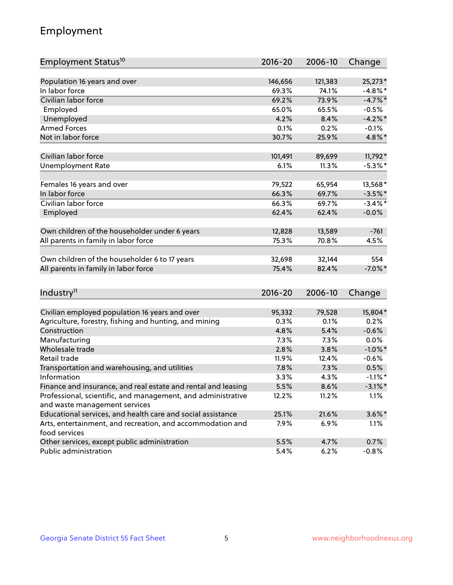## Employment

| Employment Status <sup>10</sup>                                             | $2016 - 20$ | 2006-10 | Change     |
|-----------------------------------------------------------------------------|-------------|---------|------------|
|                                                                             | 146,656     |         |            |
| Population 16 years and over<br>In labor force                              |             | 121,383 | 25,273*    |
| Civilian labor force                                                        | 69.3%       | 74.1%   | $-4.8\%$ * |
|                                                                             | 69.2%       | 73.9%   | $-4.7%$ *  |
| Employed                                                                    | 65.0%       | 65.5%   | $-0.5%$    |
| Unemployed                                                                  | 4.2%        | 8.4%    | $-4.2\%$ * |
| <b>Armed Forces</b>                                                         | 0.1%        | 0.2%    | $-0.1%$    |
| Not in labor force                                                          | 30.7%       | 25.9%   | 4.8%*      |
| Civilian labor force                                                        | 101,491     | 89,699  | 11,792*    |
| <b>Unemployment Rate</b>                                                    | 6.1%        | 11.3%   | $-5.3\%$ * |
|                                                                             |             |         |            |
| Females 16 years and over                                                   | 79,522      | 65,954  | 13,568*    |
| In labor force                                                              | 66.3%       | 69.7%   | $-3.5%$ *  |
| Civilian labor force                                                        | 66.3%       | 69.7%   | $-3.4\%$ * |
| Employed                                                                    | 62.4%       | 62.4%   | $-0.0%$    |
| Own children of the householder under 6 years                               | 12,828      | 13,589  | $-761$     |
| All parents in family in labor force                                        | 75.3%       | 70.8%   | 4.5%       |
|                                                                             |             |         |            |
| Own children of the householder 6 to 17 years                               | 32,698      | 32,144  | 554        |
| All parents in family in labor force                                        | 75.4%       | 82.4%   | $-7.0\%$ * |
|                                                                             |             |         |            |
| Industry <sup>11</sup>                                                      | $2016 - 20$ | 2006-10 | Change     |
|                                                                             |             |         |            |
| Civilian employed population 16 years and over                              | 95,332      | 79,528  | 15,804*    |
| Agriculture, forestry, fishing and hunting, and mining                      | 0.3%        | 0.1%    | 0.2%       |
| Construction                                                                | 4.8%        | 5.4%    | $-0.6%$    |
| Manufacturing                                                               | 7.3%        | 7.3%    | 0.0%       |
| Wholesale trade                                                             | 2.8%        | 3.8%    | $-1.0\%$ * |
| Retail trade                                                                | 11.9%       | 12.4%   | $-0.6%$    |
| Transportation and warehousing, and utilities                               | 7.8%        | 7.3%    | 0.5%       |
| Information                                                                 | 3.3%        | 4.3%    | $-1.1\%$ * |
| Finance and insurance, and real estate and rental and leasing               | 5.5%        | 8.6%    | $-3.1\%$ * |
| Professional, scientific, and management, and administrative                | 12.2%       | 11.2%   | 1.1%       |
| and waste management services                                               |             |         |            |
| Educational services, and health care and social assistance                 | 25.1%       | 21.6%   | $3.6\%$ *  |
| Arts, entertainment, and recreation, and accommodation and<br>food services | 7.9%        | 6.9%    | 1.1%       |
| Other services, except public administration                                | 5.5%        | 4.7%    | 0.7%       |
| Public administration                                                       | 5.4%        | 6.2%    | $-0.8%$    |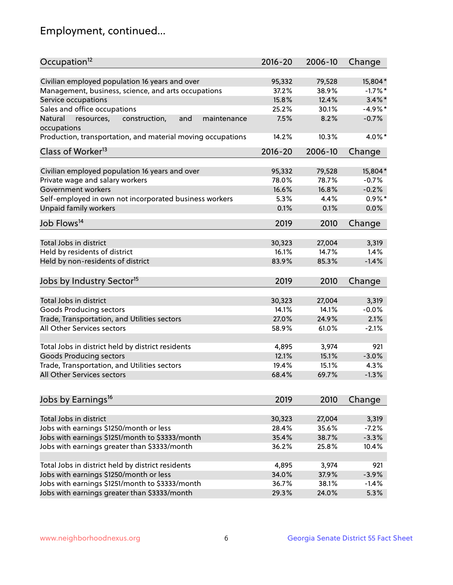## Employment, continued...

| Occupation <sup>12</sup>                                     | $2016 - 20$ | 2006-10 | Change    |
|--------------------------------------------------------------|-------------|---------|-----------|
| Civilian employed population 16 years and over               | 95,332      | 79,528  | 15,804*   |
| Management, business, science, and arts occupations          | 37.2%       | 38.9%   | $-1.7%$ * |
| Service occupations                                          | 15.8%       | 12.4%   | $3.4\%$ * |
| Sales and office occupations                                 | 25.2%       | 30.1%   | $-4.9%$ * |
| Natural<br>and<br>resources,<br>construction,<br>maintenance | 7.5%        | 8.2%    | $-0.7%$   |
| occupations                                                  |             |         |           |
| Production, transportation, and material moving occupations  | 14.2%       | 10.3%   | 4.0%*     |
| Class of Worker <sup>13</sup>                                | $2016 - 20$ | 2006-10 | Change    |
| Civilian employed population 16 years and over               | 95,332      | 79,528  | 15,804*   |
| Private wage and salary workers                              | 78.0%       | 78.7%   | $-0.7%$   |
| Government workers                                           | 16.6%       | 16.8%   | $-0.2%$   |
| Self-employed in own not incorporated business workers       | 5.3%        | 4.4%    | $0.9\%$ * |
| Unpaid family workers                                        | 0.1%        | 0.1%    | 0.0%      |
|                                                              |             |         |           |
| Job Flows <sup>14</sup>                                      | 2019        | 2010    | Change    |
|                                                              |             |         |           |
| Total Jobs in district                                       | 30,323      | 27,004  | 3,319     |
| Held by residents of district                                | 16.1%       | 14.7%   | 1.4%      |
| Held by non-residents of district                            | 83.9%       | 85.3%   | $-1.4%$   |
| Jobs by Industry Sector <sup>15</sup>                        | 2019        | 2010    | Change    |
|                                                              |             |         |           |
| Total Jobs in district                                       | 30,323      | 27,004  | 3,319     |
| Goods Producing sectors                                      | 14.1%       | 14.1%   | $-0.0%$   |
| Trade, Transportation, and Utilities sectors                 | 27.0%       | 24.9%   | 2.1%      |
| All Other Services sectors                                   | 58.9%       | 61.0%   | $-2.1%$   |
| Total Jobs in district held by district residents            | 4,895       | 3,974   | 921       |
| <b>Goods Producing sectors</b>                               | 12.1%       | 15.1%   | $-3.0%$   |
| Trade, Transportation, and Utilities sectors                 | 19.4%       | 15.1%   | 4.3%      |
| All Other Services sectors                                   | 68.4%       | 69.7%   | $-1.3%$   |
|                                                              |             |         |           |
| Jobs by Earnings <sup>16</sup>                               | 2019        | 2010    | Change    |
|                                                              |             |         |           |
| Total Jobs in district                                       | 30,323      | 27,004  | 3,319     |
| Jobs with earnings \$1250/month or less                      | 28.4%       | 35.6%   | $-7.2%$   |
| Jobs with earnings \$1251/month to \$3333/month              | 35.4%       | 38.7%   | $-3.3%$   |
| Jobs with earnings greater than \$3333/month                 | 36.2%       | 25.8%   | 10.4%     |
| Total Jobs in district held by district residents            | 4,895       | 3,974   | 921       |
| Jobs with earnings \$1250/month or less                      | 34.0%       | 37.9%   | $-3.9%$   |
| Jobs with earnings \$1251/month to \$3333/month              | 36.7%       | 38.1%   | $-1.4%$   |
| Jobs with earnings greater than \$3333/month                 | 29.3%       | 24.0%   | 5.3%      |
|                                                              |             |         |           |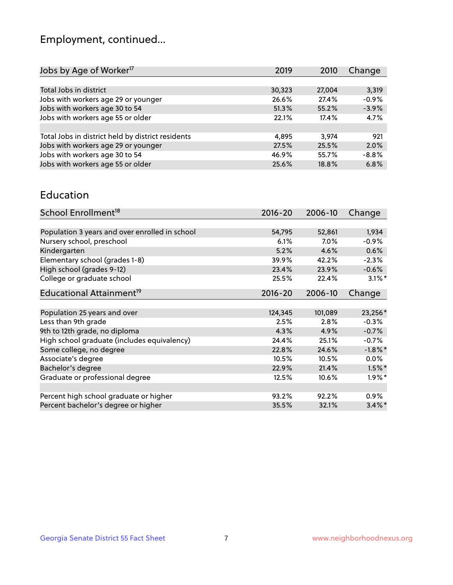## Employment, continued...

| 2019   | 2010   | Change  |
|--------|--------|---------|
|        |        |         |
| 30,323 | 27,004 | 3,319   |
| 26.6%  | 27.4%  | $-0.9%$ |
| 51.3%  | 55.2%  | $-3.9%$ |
| 22.1%  | 17.4%  | 4.7%    |
|        |        |         |
| 4.895  | 3.974  | 921     |
| 27.5%  | 25.5%  | 2.0%    |
| 46.9%  | 55.7%  | $-8.8%$ |
| 25.6%  | 18.8%  | 6.8%    |
|        |        |         |

#### Education

| School Enrollment <sup>18</sup>                | $2016 - 20$ | 2006-10 | Change     |
|------------------------------------------------|-------------|---------|------------|
|                                                |             |         |            |
| Population 3 years and over enrolled in school | 54,795      | 52,861  | 1,934      |
| Nursery school, preschool                      | 6.1%        | $7.0\%$ | $-0.9%$    |
| Kindergarten                                   | 5.2%        | 4.6%    | 0.6%       |
| Elementary school (grades 1-8)                 | 39.9%       | 42.2%   | $-2.3%$    |
| High school (grades 9-12)                      | 23.4%       | 23.9%   | $-0.6%$    |
| College or graduate school                     | 25.5%       | 22.4%   | $3.1\%$ *  |
| Educational Attainment <sup>19</sup>           | $2016 - 20$ | 2006-10 | Change     |
|                                                |             |         |            |
| Population 25 years and over                   | 124,345     | 101,089 | 23,256*    |
| Less than 9th grade                            | 2.5%        | 2.8%    | $-0.3%$    |
| 9th to 12th grade, no diploma                  | 4.3%        | 4.9%    | $-0.7%$    |
| High school graduate (includes equivalency)    | 24.4%       | 25.1%   | $-0.7%$    |
| Some college, no degree                        | 22.8%       | 24.6%   | $-1.8\%$ * |
| Associate's degree                             | 10.5%       | 10.5%   | $0.0\%$    |
| Bachelor's degree                              | 22.9%       | 21.4%   | $1.5\%$ *  |
| Graduate or professional degree                | 12.5%       | 10.6%   | $1.9\%$ *  |
|                                                |             |         |            |
| Percent high school graduate or higher         | 93.2%       | 92.2%   | 0.9%       |
| Percent bachelor's degree or higher            | 35.5%       | 32.1%   | $3.4\%$ *  |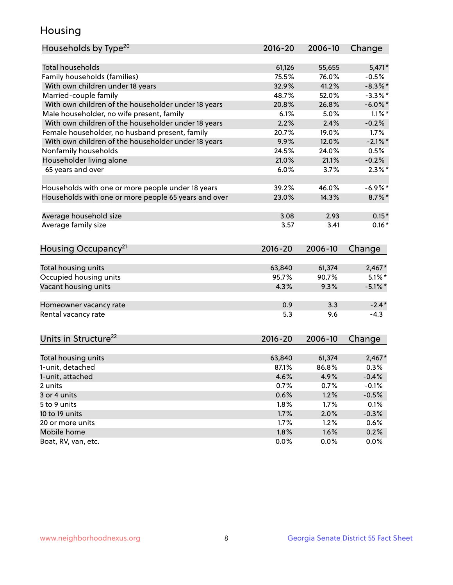## Housing

| Households by Type <sup>20</sup>                     | 2016-20         | 2006-10         | Change           |
|------------------------------------------------------|-----------------|-----------------|------------------|
|                                                      |                 |                 |                  |
| <b>Total households</b>                              | 61,126          | 55,655          | $5,471*$         |
| Family households (families)                         | 75.5%           | 76.0%           | $-0.5%$          |
| With own children under 18 years                     | 32.9%           | 41.2%           | $-8.3\%$ *       |
| Married-couple family                                | 48.7%           | 52.0%           | $-3.3\%$ *       |
| With own children of the householder under 18 years  | 20.8%           | 26.8%           | $-6.0\%$ *       |
| Male householder, no wife present, family            | 6.1%            | 5.0%            | $1.1\%$ *        |
| With own children of the householder under 18 years  | 2.2%            | 2.4%            | $-0.2%$          |
| Female householder, no husband present, family       | 20.7%           | 19.0%           | 1.7%             |
| With own children of the householder under 18 years  | 9.9%            | 12.0%           | $-2.1\%$ *       |
| Nonfamily households                                 | 24.5%           | 24.0%           | 0.5%             |
| Householder living alone                             | 21.0%           | 21.1%           | $-0.2%$          |
| 65 years and over                                    | 6.0%            | 3.7%            | $2.3\%$ *        |
|                                                      | 39.2%           | 46.0%           |                  |
| Households with one or more people under 18 years    |                 |                 | $-6.9\%$ *       |
| Households with one or more people 65 years and over | 23.0%           | 14.3%           | $8.7\%$ *        |
| Average household size                               | 3.08            | 2.93            | $0.15*$          |
| Average family size                                  | 3.57            | 3.41            | $0.16*$          |
|                                                      |                 |                 |                  |
| Housing Occupancy <sup>21</sup>                      | $2016 - 20$     | 2006-10         | Change           |
| Total housing units                                  | 63,840          | 61,374          | $2,467*$         |
| Occupied housing units                               | 95.7%           | 90.7%           | $5.1\%$ *        |
| Vacant housing units                                 | 4.3%            | 9.3%            | $-5.1\%$ *       |
|                                                      |                 |                 |                  |
| Homeowner vacancy rate                               | 0.9             | 3.3             | $-2.4*$          |
| Rental vacancy rate                                  | 5.3             | 9.6             | $-4.3$           |
|                                                      |                 |                 |                  |
| Units in Structure <sup>22</sup>                     | $2016 - 20$     | 2006-10         | Change           |
|                                                      |                 |                 |                  |
| Total housing units<br>1-unit, detached              | 63,840<br>87.1% | 61,374<br>86.8% | $2,467*$<br>0.3% |
|                                                      |                 |                 |                  |
| 1-unit, attached                                     | 4.6%            | 4.9%            | $-0.4%$          |
| 2 units                                              | 0.7%            | 0.7%            | $-0.1%$          |
| 3 or 4 units                                         | 0.6%            | 1.2%            | $-0.5%$          |
| 5 to 9 units                                         | 1.8%            | 1.7%            | 0.1%             |
| 10 to 19 units                                       | 1.7%            | 2.0%            | $-0.3%$          |
| 20 or more units                                     |                 |                 | 0.6%             |
|                                                      | 1.7%            | 1.2%            |                  |
| Mobile home<br>Boat, RV, van, etc.                   | 1.8%<br>0.0%    | 1.6%<br>0.0%    | 0.2%<br>0.0%     |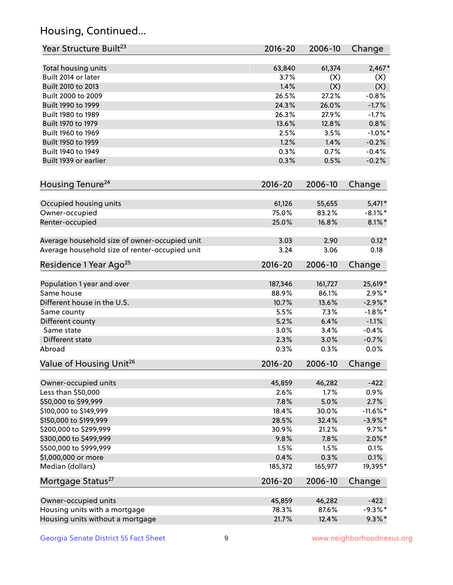## Housing, Continued...

| Year Structure Built <sup>23</sup>             | 2016-20     | 2006-10 | Change      |
|------------------------------------------------|-------------|---------|-------------|
| Total housing units                            | 63,840      | 61,374  | $2,467*$    |
| Built 2014 or later                            | 3.7%        | (X)     | (X)         |
| Built 2010 to 2013                             | 1.4%        | (X)     | (X)         |
| Built 2000 to 2009                             | 26.5%       | 27.2%   | $-0.8%$     |
| Built 1990 to 1999                             | 24.3%       | 26.0%   | $-1.7%$     |
| Built 1980 to 1989                             | 26.3%       | 27.9%   | $-1.7%$     |
| Built 1970 to 1979                             | 13.6%       | 12.8%   | 0.8%        |
| Built 1960 to 1969                             | 2.5%        | 3.5%    | $-1.0\%$ *  |
| Built 1950 to 1959                             | 1.2%        | 1.4%    | $-0.2%$     |
| Built 1940 to 1949                             | 0.3%        | 0.7%    | $-0.4%$     |
| Built 1939 or earlier                          | 0.3%        | 0.5%    | $-0.2%$     |
| Housing Tenure <sup>24</sup>                   | $2016 - 20$ | 2006-10 | Change      |
| Occupied housing units                         | 61,126      | 55,655  | $5,471*$    |
| Owner-occupied                                 | 75.0%       | 83.2%   | $-8.1\%$ *  |
| Renter-occupied                                | 25.0%       | 16.8%   | $8.1\%$ *   |
| Average household size of owner-occupied unit  | 3.03        | 2.90    | $0.12*$     |
| Average household size of renter-occupied unit | 3.24        | 3.06    | 0.18        |
| Residence 1 Year Ago <sup>25</sup>             | $2016 - 20$ | 2006-10 | Change      |
| Population 1 year and over                     | 187,346     | 161,727 | 25,619*     |
| Same house                                     | 88.9%       | 86.1%   | $2.9\%*$    |
| Different house in the U.S.                    | 10.7%       | 13.6%   | $-2.9\%$ *  |
| Same county                                    | 5.5%        | 7.3%    | $-1.8\%$ *  |
| Different county                               | 5.2%        | 6.4%    | $-1.1%$     |
| Same state                                     | 3.0%        | 3.4%    | $-0.4%$     |
| Different state                                | 2.3%        | 3.0%    | $-0.7%$     |
| Abroad                                         | 0.3%        | 0.3%    | 0.0%        |
| Value of Housing Unit <sup>26</sup>            | $2016 - 20$ | 2006-10 | Change      |
| Owner-occupied units                           | 45,859      | 46,282  | $-422$      |
| Less than \$50,000                             | 2.6%        | 1.7%    | 0.9%        |
| \$50,000 to \$99,999                           | 7.8%        | 5.0%    | 2.7%        |
| \$100,000 to \$149,999                         | 18.4%       | 30.0%   | $-11.6\%$ * |
| \$150,000 to \$199,999                         | 28.5%       | 32.4%   | $-3.9\%$ *  |
| \$200,000 to \$299,999                         | 30.9%       | 21.2%   | $9.7\%$ *   |
| \$300,000 to \$499,999                         | 9.8%        | 7.8%    | $2.0\%$ *   |
| \$500,000 to \$999,999                         | 1.5%        | 1.5%    | 0.1%        |
| \$1,000,000 or more                            | 0.4%        | 0.3%    | 0.1%        |
| Median (dollars)                               | 185,372     | 165,977 | 19,395*     |
| Mortgage Status <sup>27</sup>                  | $2016 - 20$ | 2006-10 | Change      |
| Owner-occupied units                           | 45,859      | 46,282  | $-422$      |
| Housing units with a mortgage                  | 78.3%       | 87.6%   | $-9.3%$ *   |
| Housing units without a mortgage               | 21.7%       | 12.4%   | $9.3\%$ *   |
|                                                |             |         |             |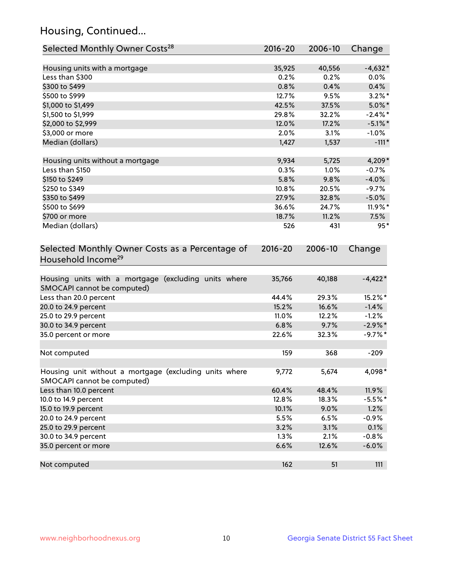## Housing, Continued...

| Selected Monthly Owner Costs <sup>28</sup>                                            | 2016-20     | 2006-10 | Change     |
|---------------------------------------------------------------------------------------|-------------|---------|------------|
| Housing units with a mortgage                                                         | 35,925      | 40,556  | $-4,632*$  |
| Less than \$300                                                                       | 0.2%        | 0.2%    | $0.0\%$    |
| \$300 to \$499                                                                        | 0.8%        | 0.4%    | 0.4%       |
| \$500 to \$999                                                                        | 12.7%       | 9.5%    | $3.2\%$ *  |
| \$1,000 to \$1,499                                                                    | 42.5%       | 37.5%   | $5.0\%$ *  |
| \$1,500 to \$1,999                                                                    | 29.8%       | 32.2%   | $-2.4\%$ * |
| \$2,000 to \$2,999                                                                    | 12.0%       | 17.2%   | $-5.1\%$ * |
| \$3,000 or more                                                                       | 2.0%        | 3.1%    | $-1.0%$    |
| Median (dollars)                                                                      | 1,427       | 1,537   | $-111*$    |
| Housing units without a mortgage                                                      | 9,934       | 5,725   | 4,209*     |
| Less than \$150                                                                       | 0.3%        | 1.0%    | $-0.7%$    |
| \$150 to \$249                                                                        | 5.8%        | 9.8%    | $-4.0%$    |
| \$250 to \$349                                                                        | 10.8%       | 20.5%   | $-9.7%$    |
| \$350 to \$499                                                                        | 27.9%       | 32.8%   | $-5.0\%$   |
| \$500 to \$699                                                                        | 36.6%       | 24.7%   | $11.9\%$ * |
| \$700 or more                                                                         | 18.7%       | 11.2%   | 7.5%       |
| Median (dollars)                                                                      | 526         | 431     | $95*$      |
| Selected Monthly Owner Costs as a Percentage of<br>Household Income <sup>29</sup>     | $2016 - 20$ | 2006-10 | Change     |
| Housing units with a mortgage (excluding units where<br>SMOCAPI cannot be computed)   | 35,766      | 40,188  | $-4,422*$  |
| Less than 20.0 percent                                                                | 44.4%       | 29.3%   | 15.2%*     |
| 20.0 to 24.9 percent                                                                  | 15.2%       | 16.6%   | $-1.4%$    |
| 25.0 to 29.9 percent                                                                  | 11.0%       | 12.2%   | $-1.2%$    |
| 30.0 to 34.9 percent                                                                  | 6.8%        | 9.7%    | $-2.9\%$ * |
| 35.0 percent or more                                                                  | 22.6%       | 32.3%   | $-9.7%$ *  |
| Not computed                                                                          | 159         | 368     | $-209$     |
| Housing unit without a mortgage (excluding units where<br>SMOCAPI cannot be computed) | 9,772       | 5,674   | $4,098*$   |
| Less than 10.0 percent                                                                | 60.4%       | 48.4%   | 11.9%      |
| 10.0 to 14.9 percent                                                                  | 12.8%       | 18.3%   | $-5.5%$ *  |
| 15.0 to 19.9 percent                                                                  | 10.1%       | 9.0%    | 1.2%       |
| 20.0 to 24.9 percent                                                                  | 5.5%        | 6.5%    | $-0.9%$    |
| 25.0 to 29.9 percent                                                                  | 3.2%        | 3.1%    | 0.1%       |
| 30.0 to 34.9 percent                                                                  | 1.3%        | 2.1%    | $-0.8%$    |
| 35.0 percent or more                                                                  | 6.6%        | 12.6%   | $-6.0%$    |
| Not computed                                                                          | 162         | 51      | 111        |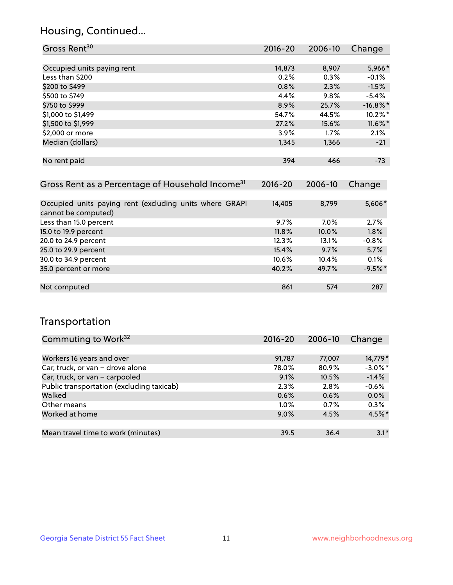## Housing, Continued...

| Gross Rent <sup>30</sup>   | 2016-20 | 2006-10 | Change      |
|----------------------------|---------|---------|-------------|
|                            |         |         |             |
| Occupied units paying rent | 14,873  | 8,907   | 5,966*      |
| Less than \$200            | 0.2%    | 0.3%    | $-0.1%$     |
| \$200 to \$499             | 0.8%    | 2.3%    | $-1.5%$     |
| \$500 to \$749             | 4.4%    | 9.8%    | $-5.4%$     |
| \$750 to \$999             | 8.9%    | 25.7%   | $-16.8\%$ * |
| \$1,000 to \$1,499         | 54.7%   | 44.5%   | 10.2%*      |
| \$1,500 to \$1,999         | 27.2%   | 15.6%   | 11.6%*      |
| \$2,000 or more            | 3.9%    | 1.7%    | 2.1%        |
| Median (dollars)           | 1,345   | 1,366   | $-21$       |
|                            |         |         |             |
| No rent paid               | 394     | 466     | $-73$       |

| Gross Rent as a Percentage of Household Income <sup>31</sup>                   | $2016 - 20$ | 2006-10 | Change    |
|--------------------------------------------------------------------------------|-------------|---------|-----------|
|                                                                                |             |         |           |
| Occupied units paying rent (excluding units where GRAPI<br>cannot be computed) | 14,405      | 8,799   | 5,606*    |
| Less than 15.0 percent                                                         | 9.7%        | 7.0%    | 2.7%      |
| 15.0 to 19.9 percent                                                           | 11.8%       | 10.0%   | 1.8%      |
| 20.0 to 24.9 percent                                                           | 12.3%       | 13.1%   | $-0.8%$   |
| 25.0 to 29.9 percent                                                           | 15.4%       | 9.7%    | 5.7%      |
| 30.0 to 34.9 percent                                                           | 10.6%       | 10.4%   | 0.1%      |
| 35.0 percent or more                                                           | 40.2%       | 49.7%   | $-9.5%$ * |
|                                                                                |             |         |           |
| Not computed                                                                   | 861         | 574     | 287       |

## Transportation

| Commuting to Work <sup>32</sup>           | 2016-20 | 2006-10 | Change     |
|-------------------------------------------|---------|---------|------------|
|                                           |         |         |            |
| Workers 16 years and over                 | 91,787  | 77,007  | 14,779*    |
| Car, truck, or van - drove alone          | 78.0%   | 80.9%   | $-3.0\%$ * |
| Car, truck, or van - carpooled            | 9.1%    | 10.5%   | $-1.4%$    |
| Public transportation (excluding taxicab) | 2.3%    | 2.8%    | $-0.6%$    |
| Walked                                    | 0.6%    | 0.6%    | 0.0%       |
| Other means                               | $1.0\%$ | 0.7%    | 0.3%       |
| Worked at home                            | 9.0%    | 4.5%    | $4.5\%$ *  |
|                                           |         |         |            |
| Mean travel time to work (minutes)        | 39.5    | 36.4    | $3.1*$     |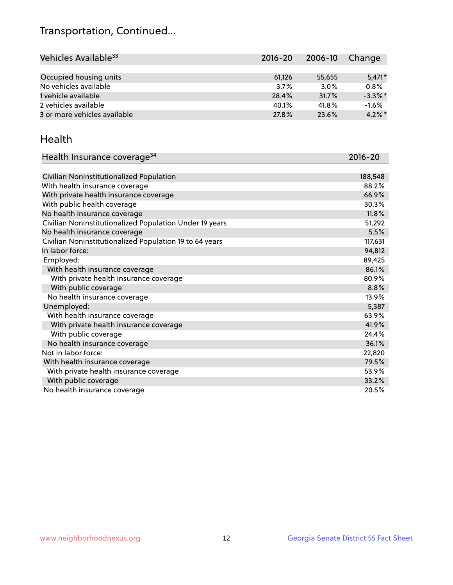## Transportation, Continued...

| Vehicles Available <sup>33</sup> | $2016 - 20$ | $2006 - 10$ | Change     |
|----------------------------------|-------------|-------------|------------|
|                                  |             |             |            |
| Occupied housing units           | 61,126      | 55,655      | $5.471*$   |
| No vehicles available            | 3.7%        | 3.0%        | 0.8%       |
| 1 vehicle available              | 28.4%       | 31.7%       | $-3.3\%$ * |
| 2 vehicles available             | 40.1%       | 41.8%       | $-1.6%$    |
| 3 or more vehicles available     | 27.8%       | 23.6%       | $4.2\%$ *  |

#### Health

| Health Insurance coverage <sup>34</sup>                 | 2016-20 |
|---------------------------------------------------------|---------|
|                                                         |         |
| Civilian Noninstitutionalized Population                | 188,548 |
| With health insurance coverage                          | 88.2%   |
| With private health insurance coverage                  | 66.9%   |
| With public health coverage                             | 30.3%   |
| No health insurance coverage                            | 11.8%   |
| Civilian Noninstitutionalized Population Under 19 years | 51,292  |
| No health insurance coverage                            | 5.5%    |
| Civilian Noninstitutionalized Population 19 to 64 years | 117,631 |
| In labor force:                                         | 94,812  |
| Employed:                                               | 89,425  |
| With health insurance coverage                          | 86.1%   |
| With private health insurance coverage                  | 80.9%   |
| With public coverage                                    | 8.8%    |
| No health insurance coverage                            | 13.9%   |
| Unemployed:                                             | 5,387   |
| With health insurance coverage                          | 63.9%   |
| With private health insurance coverage                  | 41.9%   |
| With public coverage                                    | 24.4%   |
| No health insurance coverage                            | 36.1%   |
| Not in labor force:                                     | 22,820  |
| With health insurance coverage                          | 79.5%   |
| With private health insurance coverage                  | 53.9%   |
| With public coverage                                    | 33.2%   |
| No health insurance coverage                            | 20.5%   |